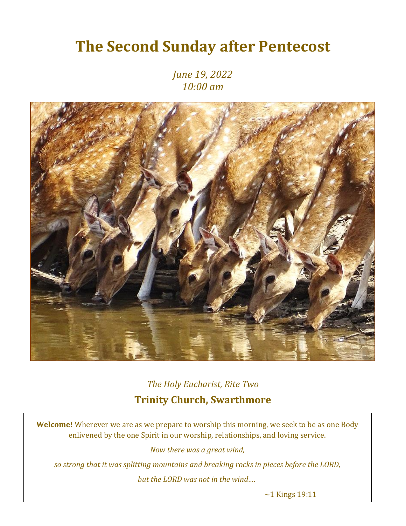# **The Second Sunday after Pentecost**

*June 19, 2022 10:00 am*



*The Holy Eucharist, Rite Two* **Trinity Church, Swarthmore**

**Welcome!** Wherever we are as we prepare to worship this morning, we seek to be as one Body enlivened by the one Spirit in our worship, relationships, and loving service.

*Now there was a great wind,* 

*so strong that it was splitting mountains and breaking rocks in pieces before the LORD,* 

*but the LORD was not in the wind….*

 $\sim$ 1 Kings 19:11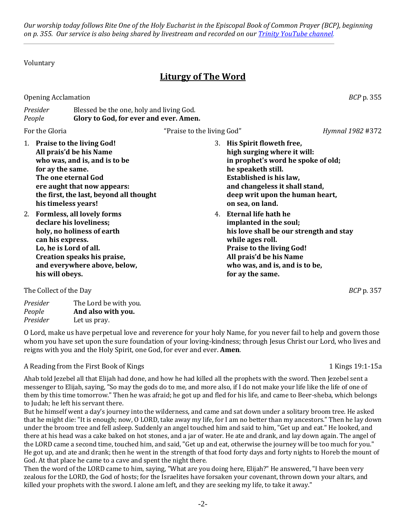*Our worship today follows Rite One of the Holy Eucharist in the Episcopal Book of Common Prayer (BCP), beginning on p. 355. Our service is also being shared by livestream and recorded on our [Trinity YouTube channel.](https://www.youtube.com/channel/UCRIVWlpuu9UprbAGDkhtLLA)*

Voluntary

# **Liturgy of The Word**

Opening Acclamation *BCP* p. 355

*Presider* Blessed be the one, holy and living God. *People* **Glory to God, for ever and ever. Amen.**

- For the Gloria *Hymnal 1982* #372
- 1. **Praise to the living God! All prais'd be his Name who was, and is, and is to be for ay the same. The one eternal God ere aught that now appears: the first, the last, beyond all thought his timeless years!**
- 2. **Formless, all lovely forms declare his loveliness; holy, no holiness of earth can his express. Lo, he is Lord of all. Creation speaks his praise, and everywhere above, below, his will obeys.**
- 3. **His Spirit floweth free, high surging where it will: in prophet's word he spoke of old; he speaketh still. Established is his law, and changeless it shall stand, deep writ upon the human heart, on sea, on land.**
- 4. **Eternal life hath he implanted in the soul; his love shall be our strength and stay while ages roll. Praise to the living God! All prais'd be his Name who was, and is, and is to be, for ay the same.**

The Collect of the Day *BCP* p. 357

| The Lord be with you. |
|-----------------------|
| And also with you.    |
| Let us pray.          |
|                       |

O Lord, make us have perpetual love and reverence for your holy Name, for you never fail to help and govern those whom you have set upon the sure foundation of your loving-kindness; through Jesus Christ our Lord, who lives and reigns with you and the Holy Spirit, one God, for ever and ever. **Amen**.

#### A Reading from the First Book of Kings 1 Kings 19:1-15a

Ahab told Jezebel all that Elijah had done, and how he had killed all the prophets with the sword. Then Jezebel sent a messenger to Elijah, saying, "So may the gods do to me, and more also, if I do not make your life like the life of one of them by this time tomorrow." Then he was afraid; he got up and fled for his life, and came to Beer-sheba, which belongs to Judah; he left his servant there.

But he himself went a day's journey into the wilderness, and came and sat down under a solitary broom tree. He asked that he might die: "It is enough; now, O LORD, take away my life, for I am no better than my ancestors." Then he lay down under the broom tree and fell asleep. Suddenly an angel touched him and said to him, "Get up and eat." He looked, and there at his head was a cake baked on hot stones, and a jar of water. He ate and drank, and lay down again. The angel of the LORD came a second time, touched him, and said, "Get up and eat, otherwise the journey will be too much for you." He got up, and ate and drank; then he went in the strength of that food forty days and forty nights to Horeb the mount of God. At that place he came to a cave and spent the night there.

Then the word of the LORD came to him, saying, "What are you doing here, Elijah?" He answered, "I have been very zealous for the LORD, the God of hosts; for the Israelites have forsaken your covenant, thrown down your altars, and killed your prophets with the sword. I alone am left, and they are seeking my life, to take it away."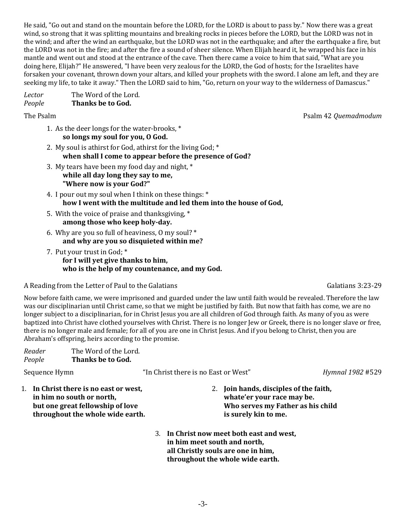He said, "Go out and stand on the mountain before the LORD, for the LORD is about to pass by." Now there was a great wind, so strong that it was splitting mountains and breaking rocks in pieces before the LORD, but the LORD was not in the wind; and after the wind an earthquake, but the LORD was not in the earthquake; and after the earthquake a fire, but the LORD was not in the fire; and after the fire a sound of sheer silence. When Elijah heard it, he wrapped his face in his mantle and went out and stood at the entrance of the cave. Then there came a voice to him that said, "What are you doing here, Elijah?" He answered, "I have been very zealous for the LORD, the God of hosts; for the Israelites have forsaken your covenant, thrown down your altars, and killed your prophets with the sword. I alone am left, and they are seeking my life, to take it away." Then the LORD said to him, "Go, return on your way to the wilderness of Damascus."

*Lector* The Word of the Lord. *People* **Thanks be to God.**

- 1. As the deer longs for the water-brooks, \* **so longs my soul for you, O God.**
- 2. My soul is athirst for God, athirst for the living God; \* **when shall I come to appear before the presence of God?**
- 3. My tears have been my food day and night, \* **while all day long they say to me, "Where now is your God?"**
- 4. I pour out my soul when I think on these things: \* **how I went with the multitude and led them into the house of God,**
- 5. With the voice of praise and thanksgiving, \* **among those who keep holy-day.**
- 6. Why are you so full of heaviness, O my soul? \* **and why are you so disquieted within me?**
- 7. Put your trust in God; \* **for I will yet give thanks to him, who is the help of my countenance, and my God.**

A Reading from the Letter of Paul to the Galatians Galatians Galatians Galatians 3:23-29

Now before faith came, we were imprisoned and guarded under the law until faith would be revealed. Therefore the law was our disciplinarian until Christ came, so that we might be justified by faith. But now that faith has come, we are no longer subject to a disciplinarian, for in Christ Jesus you are all children of God through faith. As many of you as were baptized into Christ have clothed yourselves with Christ. There is no longer Jew or Greek, there is no longer slave or free, there is no longer male and female; for all of you are one in Christ Jesus. And if you belong to Christ, then you are Abraham's offspring, heirs according to the promise.

| Reader<br>People                                                                                                                         | The Word of the Lord.<br>Thanks be to God. |                                                                                                                                                     |                                                                                                        |
|------------------------------------------------------------------------------------------------------------------------------------------|--------------------------------------------|-----------------------------------------------------------------------------------------------------------------------------------------------------|--------------------------------------------------------------------------------------------------------|
| Sequence Hymn                                                                                                                            |                                            | "In Christ there is no East or West"                                                                                                                | Hymnal 1982 #529                                                                                       |
| In Christ there is no east or west,<br>in him no south or north,<br>but one great fellowship of love<br>throughout the whole wide earth. |                                            | is surely kin to me.                                                                                                                                | Join hands, disciples of the faith,<br>whate'er your race may be.<br>Who serves my Father as his child |
|                                                                                                                                          |                                            | 3. In Christ now meet both east and west,<br>in him meet south and north,<br>all Christly souls are one in him,<br>throughout the whole wide earth. |                                                                                                        |

The Psalm Psalm 42 *Quemadmodum*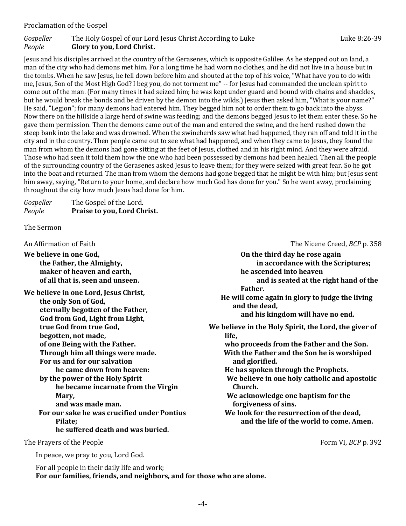#### Proclamation of the Gospel

#### *Gospeller* The Holy Gospel of our Lord Jesus Christ According to Luke **Luke 8:26-39** Luke 8:26-39 *People* **Glory to you, Lord Christ.**

Jesus and his disciples arrived at the country of the Gerasenes, which is opposite Galilee. As he stepped out on land, a man of the city who had demons met him. For a long time he had worn no clothes, and he did not live in a house but in the tombs. When he saw Jesus, he fell down before him and shouted at the top of his voice, "What have you to do with me, Jesus, Son of the Most High God? I beg you, do not torment me" -- for Jesus had commanded the unclean spirit to come out of the man. (For many times it had seized him; he was kept under guard and bound with chains and shackles, but he would break the bonds and be driven by the demon into the wilds.) Jesus then asked him, "What is your name?" He said, "Legion"; for many demons had entered him. They begged him not to order them to go back into the abyss. Now there on the hillside a large herd of swine was feeding; and the demons begged Jesus to let them enter these. So he gave them permission. Then the demons came out of the man and entered the swine, and the herd rushed down the steep bank into the lake and was drowned. When the swineherds saw what had happened, they ran off and told it in the city and in the country. Then people came out to see what had happened, and when they came to Jesus, they found the man from whom the demons had gone sitting at the feet of Jesus, clothed and in his right mind. And they were afraid. Those who had seen it told them how the one who had been possessed by demons had been healed. Then all the people of the surrounding country of the Gerasenes asked Jesus to leave them; for they were seized with great fear. So he got into the boat and returned. The man from whom the demons had gone begged that he might be with him; but Jesus sent him away, saying, "Return to your home, and declare how much God has done for you." So he went away, proclaiming throughout the city how much Jesus had done for him.

| Gospeller | The Gospel of the Lord.     |
|-----------|-----------------------------|
| People    | Praise to you, Lord Christ. |

The Sermon

An Affirmation of Faith The Nicene Creed, *BCP* p. 358

**We believe in one God, the Father, the Almighty, maker of heaven and earth, of all that is, seen and unseen.**

**We believe in one Lord, Jesus Christ, the only Son of God, eternally begotten of the Father, God from God, Light from Light, true God from true God, begotten, not made, of one Being with the Father. Through him all things were made. For us and for our salvation he came down from heaven: by the power of the Holy Spirit he became incarnate from the Virgin Mary, and was made man. For our sake he was crucified under Pontius Pilate;**

**he suffered death and was buried.**

The Prayers of the People **Form VI,** *BCP* p. 392

In peace, we pray to you, Lord God.

**On the third day he rose again in accordance with the Scriptures; he ascended into heaven and is seated at the right hand of the Father. He will come again in glory to judge the living and the dead, and his kingdom will have no end. We believe in the Holy Spirit, the Lord, the giver of life, who proceeds from the Father and the Son. With the Father and the Son he is worshiped and glorified. He has spoken through the Prophets. We believe in one holy catholic and apostolic Church. We acknowledge one baptism for the forgiveness of sins. We look for the resurrection of the dead, and the life of the world to come. Amen.**

For all people in their daily life and work; **For our families, friends, and neighbors, and for those who are alone.**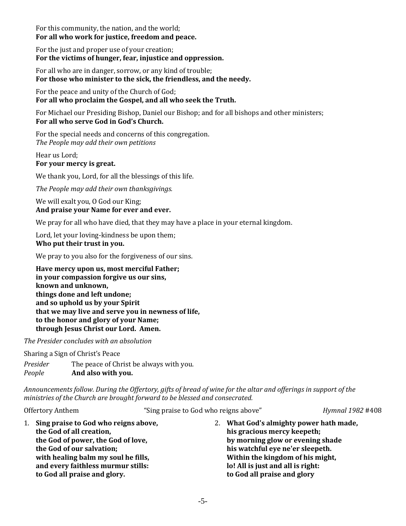For this community, the nation, and the world; **For all who work for justice, freedom and peace.**

For the just and proper use of your creation; **For the victims of hunger, fear, injustice and oppression.**

For all who are in danger, sorrow, or any kind of trouble; **For those who minister to the sick, the friendless, and the needy.**

For the peace and unity of the Church of God; **For all who proclaim the Gospel, and all who seek the Truth.**

For Michael our Presiding Bishop, Daniel our Bishop; and for all bishops and other ministers; **For all who serve God in God's Church.**

For the special needs and concerns of this congregation. *The People may add their own petitions*

Hear us Lord; **For your mercy is great.**

We thank you, Lord, for all the blessings of this life.

*The People may add their own thanksgivings.*

We will exalt you, O God our King; **And praise your Name for ever and ever.**

We pray for all who have died, that they may have a place in your eternal kingdom.

Lord, let your loving-kindness be upon them; **Who put their trust in you.**

We pray to you also for the forgiveness of our sins.

**Have mercy upon us, most merciful Father; in your compassion forgive us our sins, known and unknown, things done and left undone; and so uphold us by your Spirit that we may live and serve you in newness of life, to the honor and glory of your Name; through Jesus Christ our Lord. Amen.**

*The Presider concludes with an absolution*

Sharing a Sign of Christ's Peace

*Presider* The peace of Christ be always with you. *People* **And also with you.**

*Announcements follow. During the Offertory, gifts of bread of wine for the altar and offerings in support of the ministries of the Church are brought forward to be blessed and consecrated.*

| Offertory Anthem                                                                                                                                                                                         |                                            |  | "Sing praise to God who reigns above" |                                         | Hymnal 1982 #408 |
|----------------------------------------------------------------------------------------------------------------------------------------------------------------------------------------------------------|--------------------------------------------|--|---------------------------------------|-----------------------------------------|------------------|
|                                                                                                                                                                                                          | Sing praise to God who reigns above,<br>1. |  |                                       | 2. What God's almighty power hath made, |                  |
| the God of all creation,<br>the God of power, the God of love,<br>the God of our salvation;<br>with healing balm my soul he fills,<br>and every faithless murmur stills:<br>to God all praise and glory. |                                            |  | his gracious mercy keepeth;           |                                         |                  |
|                                                                                                                                                                                                          |                                            |  | by morning glow or evening shade      |                                         |                  |
|                                                                                                                                                                                                          |                                            |  | his watchful eye ne'er sleepeth.      |                                         |                  |
|                                                                                                                                                                                                          |                                            |  |                                       | Within the kingdom of his might,        |                  |
|                                                                                                                                                                                                          |                                            |  | lo! All is just and all is right:     |                                         |                  |
|                                                                                                                                                                                                          |                                            |  | to God all praise and glory           |                                         |                  |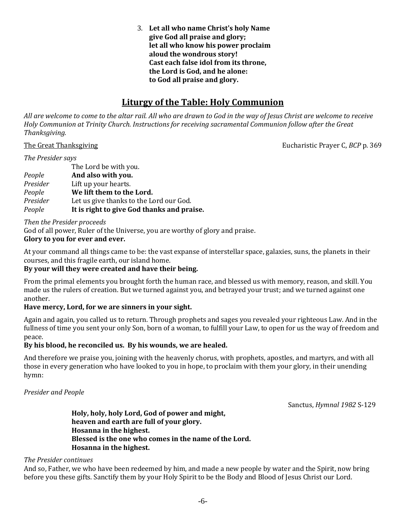3. **Let all who name Christ's holy Name give God all praise and glory; let all who know his power proclaim aloud the wondrous story! Cast each false idol from its throne, the Lord is God, and he alone: to God all praise and glory.**

## **Liturgy of the Table: Holy Communion**

*All are welcome to come to the altar rail. All who are drawn to God in the way of Jesus Christ are welcome to receive Holy Communion at Trinity Church. Instructions for receiving sacramental Communion follow after the Great Thanksgiving.*

The Great Thanksgiving **The Great Thanksgiving Eucharistic Prayer C,** *BCP* **p. 369** 

#### *The Presider says*

The Lord be with you. *People* **And also with you.** *Presider* Lift up your hearts. *People* **We lift them to the Lord.** *Presider* Let us give thanks to the Lord our God. *People* **It is right to give God thanks and praise.**

*Then the Presider proceeds*

God of all power, Ruler of the Universe, you are worthy of glory and praise.

#### **Glory to you for ever and ever.**

At your command all things came to be: the vast expanse of interstellar space, galaxies, suns, the planets in their courses, and this fragile earth, our island home.

#### **By your will they were created and have their being.**

From the primal elements you brought forth the human race, and blessed us with memory, reason, and skill. You made us the rulers of creation. But we turned against you, and betrayed your trust; and we turned against one another.

#### **Have mercy, Lord, for we are sinners in your sight.**

Again and again, you called us to return. Through prophets and sages you revealed your righteous Law. And in the fullness of time you sent your only Son, born of a woman, to fulfill your Law, to open for us the way of freedom and peace.

#### **By his blood, he reconciled us. By his wounds, we are healed.**

And therefore we praise you, joining with the heavenly chorus, with prophets, apostles, and martyrs, and with all those in every generation who have looked to you in hope, to proclaim with them your glory, in their unending hymn:

#### *Presider and People*

Sanctus, *Hymnal 1982* S-129

**Holy, holy, holy Lord, God of power and might, heaven and earth are full of your glory. Hosanna in the highest. Blessed is the one who comes in the name of the Lord. Hosanna in the highest.**

#### *The Presider continues*

And so, Father, we who have been redeemed by him, and made a new people by water and the Spirit, now bring before you these gifts. Sanctify them by your Holy Spirit to be the Body and Blood of Jesus Christ our Lord.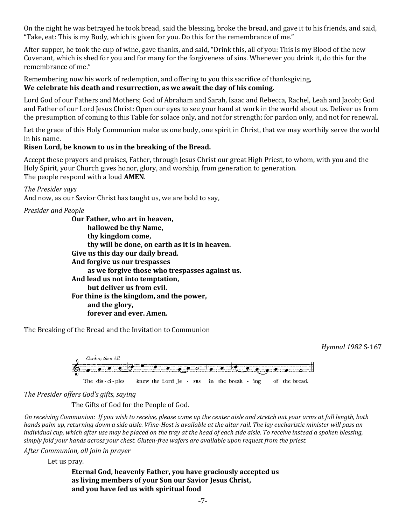On the night he was betrayed he took bread, said the blessing, broke the bread, and gave it to his friends, and said, "Take, eat: This is my Body, which is given for you. Do this for the remembrance of me."

After supper, he took the cup of wine, gave thanks, and said, "Drink this, all of you: This is my Blood of the new Covenant, which is shed for you and for many for the forgiveness of sins. Whenever you drink it, do this for the remembrance of me."

Remembering now his work of redemption, and offering to you this sacrifice of thanksgiving, **We celebrate his death and resurrection, as we await the day of his coming.**

Lord God of our Fathers and Mothers; God of Abraham and Sarah, Isaac and Rebecca, Rachel, Leah and Jacob; God and Father of our Lord Jesus Christ: Open our eyes to see your hand at work in the world about us. Deliver us from the presumption of coming to this Table for solace only, and not for strength; for pardon only, and not for renewal.

Let the grace of this Holy Communion make us one body, one spirit in Christ, that we may worthily serve the world in his name.

#### **Risen Lord, be known to us in the breaking of the Bread.**

Accept these prayers and praises, Father, through Jesus Christ our great High Priest, to whom, with you and the Holy Spirit, your Church gives honor, glory, and worship, from generation to generation. The people respond with a loud **AMEN**.

#### *The Presider says*

And now, as our Savior Christ has taught us, we are bold to say,

#### *Presider and People*

**Our Father, who art in heaven, hallowed be thy Name, thy kingdom come, thy will be done, on earth as it is in heaven. Give us this day our daily bread. And forgive us our trespasses as we forgive those who trespasses against us. And lead us not into temptation, but deliver us from evil. For thine is the kingdom, and the power, and the glory, forever and ever. Amen.**

The Breaking of the Bread and the Invitation to Communion



*The Presider offers God's gifts, saying*

The Gifts of God for the People of God.

*On receiving Communion: If you wish to receive, please come up the center aisle and stretch out your arms at full length, both hands palm up, returning down a side aisle. Wine-Host is available at the altar rail. The lay eucharistic minister will pass an individual cup, which after use may be placed on the tray at the head of each side aisle. To receive instead a spoken blessing, simply fold your hands across your chest. Gluten-free wafers are available upon request from the priest.*

*After Communion, all join in prayer*

Let us pray.

**Eternal God, heavenly Father, you have graciously accepted us as living members of your Son our Savior Jesus Christ, and you have fed us with spiritual food**